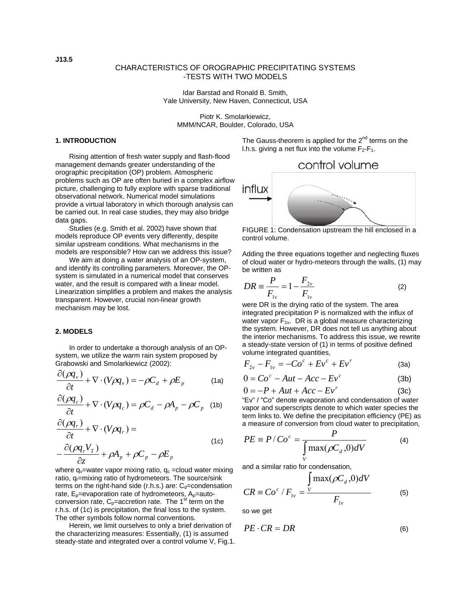# CHARACTERISTICS OF OROGRAPHIC PRECIPITATING SYSTEMS -TESTS WITH TWO MODELS

Idar Barstad and Ronald B. Smith, Yale University, New Haven, Connecticut, USA

Piotr K. Smolarkiewicz, MMM/NCAR, Boulder, Colorado, USA

# **1. INTRODUCTION**

Rising attention of fresh water supply and flash-flood management demands greater understanding of the orographic precipitation (OP) problem. Atmospheric problems such as OP are often buried in a complex airflow picture, challenging to fully explore with sparse traditional observational network. Numerical model simulations provide a virtual laboratory in which thorough analysis can be carried out. In real case studies, they may also bridge data gaps.

Studies (e.g. Smith et al. 2002) have shown that models reproduce OP events very differently, despite similar upstream conditions. What mechanisms in the models are responsible? How can we address this issue?

We aim at doing a water analysis of an OP-system, and identify its controlling parameters. Moreover, the OPsystem is simulated in a numerical model that conserves water, and the result is compared with a linear model. Linearization simplifies a problem and makes the analysis transparent. However, crucial non-linear growth mechanism may be lost.

### **2. MODELS**

In order to undertake a thorough analysis of an OPsystem, we utilize the warm rain system proposed by Grabowski and Smolarkiewicz (2002):

$$
\frac{\partial(\rho q_{\nu})}{\partial t} + \nabla \cdot (V \rho q_{\nu}) = -\rho C_d + \rho E_p \tag{1a}
$$

$$
\frac{\partial(\rho q_c)}{\partial t} + \nabla \cdot (V \rho q_c) = \rho C_d - \rho A_p - \rho C_p
$$
 (1b)

$$
\frac{\partial(\rho q_r)}{\partial t} + \nabla \cdot (V \rho q_r) =
$$
\n
$$
-\frac{\partial(\rho q_r V_r)}{\partial z} + \rho A_p + \rho C_p - \rho E_p
$$
\n(1c)

where  $q_v$ =water vapor mixing ratio,  $q_c$  =cloud water mixing ratio, q<sub>r</sub>=mixing ratio of hydrometeors. The source/sink terms on the right-hand side (r.h.s.) are:  $C_d$ =condensation rate,  $E_p$ =evaporation rate of hydrometeors,  $A_p$ =autoconversion rate,  $C_p$ =accretion rate. The 1<sup>st</sup> term on the r.h.s. of (1c) is precipitation, the final loss to the system. The other symbols follow normal conventions.

Herein, we limit ourselves to only a brief derivation of the characterizing measures: Essentially, (1) is assumed steady-state and integrated over a control volume V, Fig.1. The Gauss-theorem is applied for the  $2^{nd}$  terms on the l.h.s. giving a net flux into the volume  $F_2-F_1$ .

# control volume



FIGURE 1: Condensation upstream the hill enclosed in a control volume.

Adding the three equations together and neglecting fluxes of cloud water or hydro-meteors through the walls, (1) may be written as

$$
DR = \frac{P}{F_{1v}} = 1 - \frac{F_{2v}}{F_{1v}}
$$
 (2)

were DR is the drying ratio of the system. The area integrated precipitation P is normalized with the influx of water vapor  $F_{1v}$ . DR is a global measure characterizing the system. However, DR does not tell us anything about the interior mechanisms. To address this issue, we rewrite a steady-state version of (1) in terms of positive defined volume integrated quantities,

$$
F_{2v} - F_{1v} = -Co^{c} + Ev^{c} + Ev^{r}
$$
 (3a)

$$
0 = Coc - Aut - Acc - Evc
$$
 (3b)

$$
0 = -P + Aut + Acc - Ev^r \tag{3c}
$$

"Ev" / "Co" denote evaporation and condensation of water vapor and superscripts denote to which water species the term links to. We define the precipitation efficiency (PE) as a measure of conversion from cloud water to precipitation,

$$
PE \equiv P / Coc = \frac{P}{\int_{V} \max(\rho C_d, 0) dV}
$$
 (4)

and a similar ratio for condensation,

$$
CR \equiv Co^{c}/F_{1v} = \frac{\int_{V} \max(\rho C_{d}, 0)dV}{F_{1v}}
$$
 (5)

so we get

$$
PE \cdot CR = DR \tag{6}
$$

**J13.5**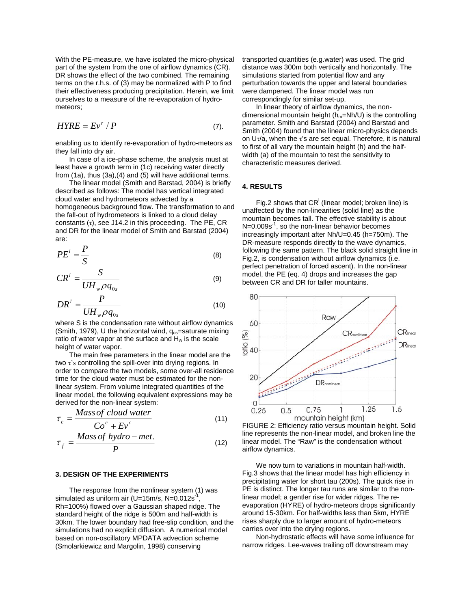With the PE-measure, we have isolated the micro-physical part of the system from the one of airflow dynamics (CR). DR shows the effect of the two combined. The remaining terms on the r.h.s. of (3) may be normalized with P to find their effectiveness producing precipitation. Herein, we limit ourselves to a measure of the re-evaporation of hydrometeors;

$$
HYRE = Ev^r / P \tag{7}.
$$

enabling us to identify re-evaporation of hydro-meteors as they fall into dry air.

In case of a ice-phase scheme, the analysis must at least have a growth term in (1c) receiving water directly from (1a), thus (3a),(4) and (5) will have additional terms.

The linear model (Smith and Barstad, 2004) is briefly described as follows: The model has vertical integrated cloud water and hydrometeors advected by a homogeneous background flow. The transformation to and the fall-out of hydrometeors is linked to a cloud delay constants (τ), see J14.2 in this proceeding. The PE, CR and DR for the linear model of Smith and Barstad (2004) are:

$$
PE' = \frac{P}{S}
$$
 (8)

$$
CR^l = \frac{S}{UH_{w}\rho q_{0s}}
$$
 (9)

$$
DR^l = \frac{P}{UH_w \rho q_{0s}}
$$
 (10)

where S is the condensation rate without airflow dynamics (Smith, 1979), U the horizontal wind,  $q_{os}$ =saturate mixing ratio of water vapor at the surface and  $H_w$  is the scale height of water vapor.

The main free parameters in the linear model are the two τ's controlling the spill-over into drying regions. In order to compare the two models, some over-all residence time for the cloud water must be estimated for the nonlinear system. From volume integrated quantities of the linear model, the following equivalent expressions may be derived for the non-linear system:

$$
\tau_c = \frac{Mass\,of\,cloud\,water}{Co^c + Ev^c}
$$
\n(11)

$$
\tau_f = \frac{Mass\ of\ hydro-met.}{P}
$$
 (12)

### **3. DESIGN OF THE EXPERIMENTS**

The response from the nonlinear system (1) was simulated as uniform air (U=15m/s, N=0.012s<sup>-1</sup>, Rh=100%) flowed over a Gaussian shaped ridge. The standard height of the ridge is 500m and half-width is 30km. The lower boundary had free-slip condition, and the simulations had no explicit diffusion. A numerical model based on non-oscillatory MPDATA advection scheme (Smolarkiewicz and Margolin, 1998) conserving

transported quantities (e.g.water) was used. The grid distance was 300m both vertically and horizontally. The simulations started from potential flow and any perturbation towards the upper and lateral boundaries were dampened. The linear model was run correspondingly for similar set-up.

In linear theory of airflow dynamics, the nondimensional mountain height ( $h_m=Nh/U$ ) is the controlling parameter. Smith and Barstad (2004) and Barstad and Smith (2004) found that the linear micro-physics depends on U $\tau$ /a, when the  $\tau$ 's are set equal. Therefore, it is natural to first of all vary the mountain height (h) and the halfwidth (a) of the mountain to test the sensitivity to characteristic measures derived.

## **4. RESULTS**

Fig.2 shows that  $CR^1$  (linear model; broken line) is unaffected by the non-linearities (solid line) as the mountain becomes tall. The effective stability is about  $N=0.009s^{-1}$ , so the non-linear behavior becomes increasingly important after Nh/U=0.45 (h=750m). The DR-measure responds directly to the wave dynamics, following the same pattern. The black solid straight line in Fig.2, is condensation without airflow dynamics (i.e. perfect penetration of forced ascent). In the non-linear model, the PE (eq. 4) drops and increases the gap between CR and DR for taller mountains.



FIGURE 2: Efficiency ratio versus mountain height. Solid line represents the non-linear model, and broken line the linear model. The "Raw" is the condensation without airflow dynamics.

We now turn to variations in mountain half-width. Fig.3 shows that the linear model has high efficiency in precipitating water for short tau (200s). The quick rise in PE is distinct. The longer tau runs are similar to the nonlinear model; a gentler rise for wider ridges. The reevaporation (HYRE) of hydro-meteors drops significantly around 15-30km. For half-widths less than 5km, HYRE rises sharply due to larger amount of hydro-meteors carries over into the drying regions.

Non-hydrostatic effects will have some influence for narrow ridges. Lee-waves trailing off downstream may